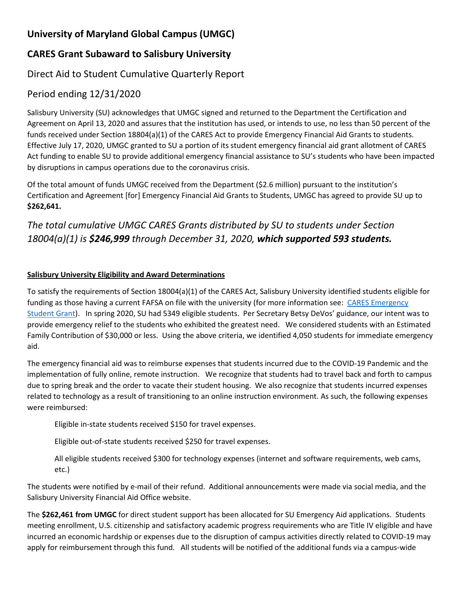## **University of Maryland Global Campus (UMGC)**

### **CARES Grant Subaward to Salisbury University**

#### Direct Aid to Student Cumulative Quarterly Report

#### Period ending 12/31/2020

Salisbury University (SU) acknowledges that UMGC signed and returned to the Department the Certification and Agreement on April 13, 2020 and assures that the institution has used, or intends to use, no less than 50 percent of the funds received under Section 18804(a)(1) of the CARES Act to provide Emergency Financial Aid Grants to students. Effective July 17, 2020, UMGC granted to SU a portion of its student emergency financial aid grant allotment of CARES Act funding to enable SU to provide additional emergency financial assistance to SU's students who have been impacted by disruptions in campus operations due to the coronavirus crisis.

Of the total amount of funds UMGC received from the Department (\$2.6 million) pursuant to the institution's Certification and Agreement [for] Emergency Financial Aid Grants to Students, UMGC has agreed to provide SU up to **\$262,641.**

# *The total cumulative UMGC CARES Grants distributed by SU to students under Section 18004(a)(1) is \$246,999 through December 31, 2020, which supported 593 students.*

#### **Salisbury University Eligibility and Award Determinations**

To satisfy the requirements of Section 18004(a)(1) of the CARES Act, Salisbury University identified students eligible for funding as those having a current FAFSA on file with the university (for more information see: [CARES Emergency](https://www.salisbury.edu/admissions/financial-aid/cares-emergency.aspx)  [Student Grant\)](https://www.salisbury.edu/admissions/financial-aid/cares-emergency.aspx). In spring 2020, SU had 5349 eligible students. Per Secretary Betsy DeVos' guidance, our intent was to provide emergency relief to the students who exhibited the greatest need. We considered students with an Estimated Family Contribution of \$30,000 or less. Using the above criteria, we identified 4,050 students for immediate emergency aid.

The emergency financial aid was to reimburse expenses that students incurred due to the COVID-19 Pandemic and the implementation of fully online, remote instruction. We recognize that students had to travel back and forth to campus due to spring break and the order to vacate their student housing. We also recognize that students incurred expenses related to technology as a result of transitioning to an online instruction environment. As such, the following expenses were reimbursed:

Eligible in-state students received \$150 for travel expenses.

Eligible out-of-state students received \$250 for travel expenses.

All eligible students received \$300 for technology expenses (internet and software requirements, web cams, etc.)

The students were notified by e-mail of their refund. Additional announcements were made via social media, and the Salisbury University Financial Aid Office website.

The **\$262,461 from UMGC** for direct student support has been allocated for SU Emergency Aid applications. Students meeting enrollment, U.S. citizenship and satisfactory academic progress requirements who are Title IV eligible and have incurred an economic hardship or expenses due to the disruption of campus activities directly related to COVID-19 may apply for reimbursement through this fund. All students will be notified of the additional funds via a campus-wide